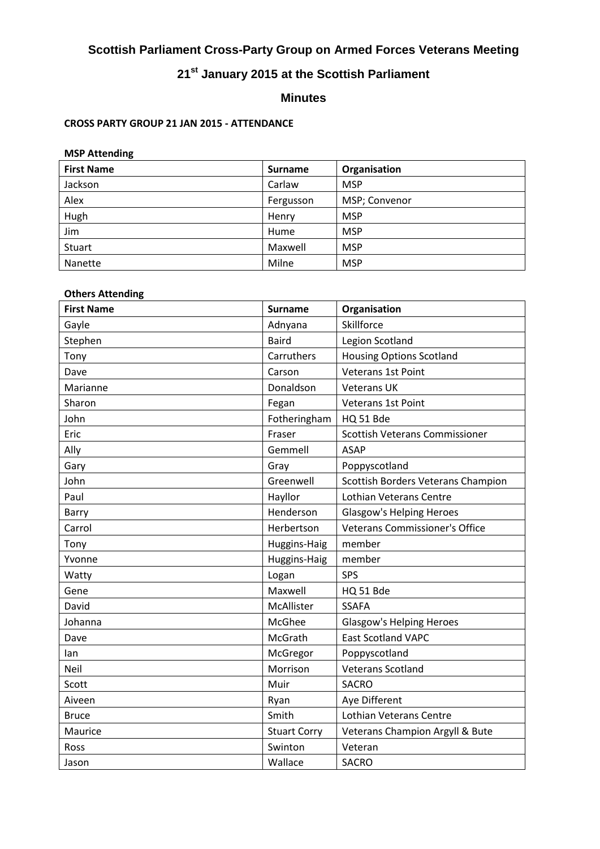# **Scottish Parliament Cross-Party Group on Armed Forces Veterans Meeting**

# **21st January 2015 at the Scottish Parliament**

# **Minutes**

#### **CROSS PARTY GROUP 21 JAN 2015 - ATTENDANCE**

# **MSP Attending**

| <b>First Name</b> | <b>Surname</b> | Organisation  |
|-------------------|----------------|---------------|
| Jackson           | Carlaw         | <b>MSP</b>    |
| Alex              | Fergusson      | MSP; Convenor |
| Hugh              | Henry          | <b>MSP</b>    |
| Jim               | Hume           | <b>MSP</b>    |
| Stuart            | Maxwell        | <b>MSP</b>    |
| <b>Nanette</b>    | Milne          | <b>MSP</b>    |

# **Others Attending**

| <b>First Name</b> | <b>Surname</b>      | Organisation                              |
|-------------------|---------------------|-------------------------------------------|
| Gayle             | Adnyana             | Skillforce                                |
| Stephen           | <b>Baird</b>        | Legion Scotland                           |
| Tony              | Carruthers          | <b>Housing Options Scotland</b>           |
| Dave              | Carson              | Veterans 1st Point                        |
| Marianne          | Donaldson           | <b>Veterans UK</b>                        |
| Sharon            | Fegan               | <b>Veterans 1st Point</b>                 |
| John              | Fotheringham        | HQ 51 Bde                                 |
| Eric              | Fraser              | Scottish Veterans Commissioner            |
| Ally              | Gemmell             | <b>ASAP</b>                               |
| Gary              | Gray                | Poppyscotland                             |
| John              | Greenwell           | <b>Scottish Borders Veterans Champion</b> |
| Paul              | Hayllor             | Lothian Veterans Centre                   |
| Barry             | Henderson           | <b>Glasgow's Helping Heroes</b>           |
| Carrol            | Herbertson          | <b>Veterans Commissioner's Office</b>     |
| Tony              | Huggins-Haig        | member                                    |
| Yvonne            | Huggins-Haig        | member                                    |
| Watty             | Logan               | SPS                                       |
| Gene              | Maxwell             | HQ 51 Bde                                 |
| David             | McAllister          | <b>SSAFA</b>                              |
| Johanna           | McGhee              | <b>Glasgow's Helping Heroes</b>           |
| Dave              | McGrath             | <b>East Scotland VAPC</b>                 |
| lan               | McGregor            | Poppyscotland                             |
| Neil              | Morrison            | Veterans Scotland                         |
| Scott             | Muir                | <b>SACRO</b>                              |
| Aiveen            | Ryan                | Aye Different                             |
| <b>Bruce</b>      | Smith               | Lothian Veterans Centre                   |
| Maurice           | <b>Stuart Corry</b> | Veterans Champion Argyll & Bute           |
| Ross              | Swinton             | Veteran                                   |
| Jason             | Wallace             | <b>SACRO</b>                              |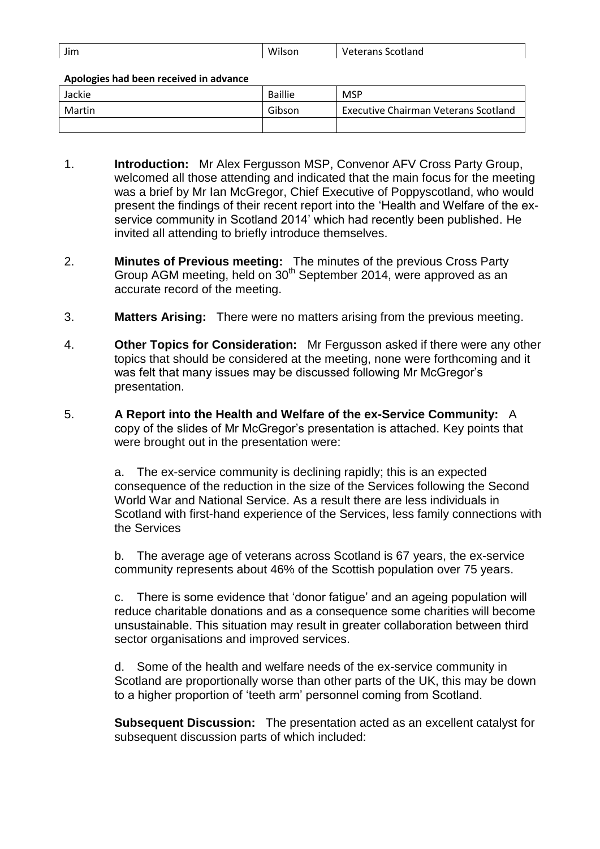| Jim | Wilson | <b>Veterans Scotland</b> |
|-----|--------|--------------------------|
|     |        |                          |

**Apologies had been received in advance** 

| Jackie | Baillie | <b>MSP</b>                                  |
|--------|---------|---------------------------------------------|
| Martin | Gibson  | <b>Executive Chairman Veterans Scotland</b> |
|        |         |                                             |

- 1. **Introduction:** Mr Alex Fergusson MSP, Convenor AFV Cross Party Group, welcomed all those attending and indicated that the main focus for the meeting was a brief by Mr Ian McGregor, Chief Executive of Poppyscotland, who would present the findings of their recent report into the 'Health and Welfare of the exservice community in Scotland 2014' which had recently been published. He invited all attending to briefly introduce themselves.
- 2. **Minutes of Previous meeting:** The minutes of the previous Cross Party Group AGM meeting, held on 30<sup>th</sup> September 2014, were approved as an accurate record of the meeting.
- 3. **Matters Arising:** There were no matters arising from the previous meeting.
- 4. **Other Topics for Consideration:** Mr Fergusson asked if there were any other topics that should be considered at the meeting, none were forthcoming and it was felt that many issues may be discussed following Mr McGregor's presentation.
- 5. **A Report into the Health and Welfare of the ex-Service Community:** A copy of the slides of Mr McGregor's presentation is attached. Key points that were brought out in the presentation were:

a. The ex-service community is declining rapidly; this is an expected consequence of the reduction in the size of the Services following the Second World War and National Service. As a result there are less individuals in Scotland with first-hand experience of the Services, less family connections with the Services

b. The average age of veterans across Scotland is 67 years, the ex-service community represents about 46% of the Scottish population over 75 years.

c. There is some evidence that 'donor fatigue' and an ageing population will reduce charitable donations and as a consequence some charities will become unsustainable. This situation may result in greater collaboration between third sector organisations and improved services.

d. Some of the health and welfare needs of the ex-service community in Scotland are proportionally worse than other parts of the UK, this may be down to a higher proportion of 'teeth arm' personnel coming from Scotland.

**Subsequent Discussion:** The presentation acted as an excellent catalyst for subsequent discussion parts of which included: